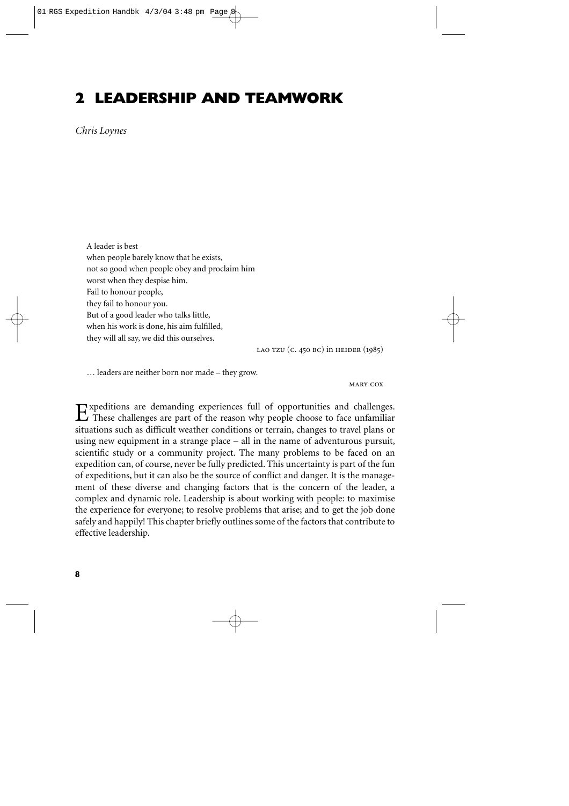*Chris Loynes*

A leader is best when people barely know that he exists, not so good when people obey and proclaim him worst when they despise him. Fail to honour people, they fail to honour you. But of a good leader who talks little, when his work is done, his aim fulfilled, they will all say, we did this ourselves.

lao tzu (c. 450 bc) in heider (1985)

… leaders are neither born nor made – they grow.

mary cox

Expeditions are demanding experiences full of opportunities and challenges. These challenges are part of the reason why people choose to face unfamiliar situations such as difficult weather conditions or terrain, changes to travel plans or using new equipment in a strange place – all in the name of adventurous pursuit, scientific study or a community project. The many problems to be faced on an expedition can, of course, never be fully predicted. This uncertainty is part of the fun of expeditions, but it can also be the source of conflict and danger. It is the management of these diverse and changing factors that is the concern of the leader, a complex and dynamic role. Leadership is about working with people: to maximise the experience for everyone; to resolve problems that arise; and to get the job done safely and happily! This chapter briefly outlines some of the factors that contribute to effective leadership.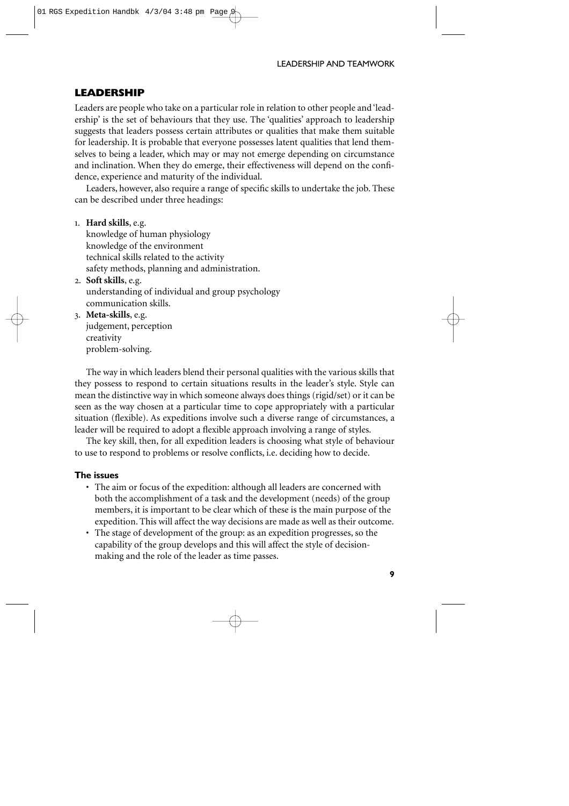**9**

# **LEADERSHIP**

Leaders are people who take on a particular role in relation to other people and 'leadership' is the set of behaviours that they use. The 'qualities' approach to leadership suggests that leaders possess certain attributes or qualities that make them suitable for leadership. It is probable that everyone possesses latent qualities that lend themselves to being a leader, which may or may not emerge depending on circumstance and inclination. When they do emerge, their effectiveness will depend on the confidence, experience and maturity of the individual.

Leaders, however, also require a range of specific skills to undertake the job. These can be described under three headings:

1. **Hard skills**, e.g.

knowledge of human physiology knowledge of the environment technical skills related to the activity safety methods, planning and administration.

2. **Soft skills**, e.g. understanding of individual and group psychology communication skills.

3. **Meta-skills**, e.g. judgement, perception creativity problem-solving.

The way in which leaders blend their personal qualities with the various skills that they possess to respond to certain situations results in the leader's style. Style can mean the distinctive way in which someone always does things (rigid/set) or it can be seen as the way chosen at a particular time to cope appropriately with a particular situation (flexible). As expeditions involve such a diverse range of circumstances, a leader will be required to adopt a flexible approach involving a range of styles.

The key skill, then, for all expedition leaders is choosing what style of behaviour to use to respond to problems or resolve conflicts, i.e. deciding how to decide.

#### **The issues**

- The aim or focus of the expedition: although all leaders are concerned with both the accomplishment of a task and the development (needs) of the group members, it is important to be clear which of these is the main purpose of the expedition. This will affect the way decisions are made as well as their outcome.
- The stage of development of the group: as an expedition progresses, so the capability of the group develops and this will affect the style of decisionmaking and the role of the leader as time passes.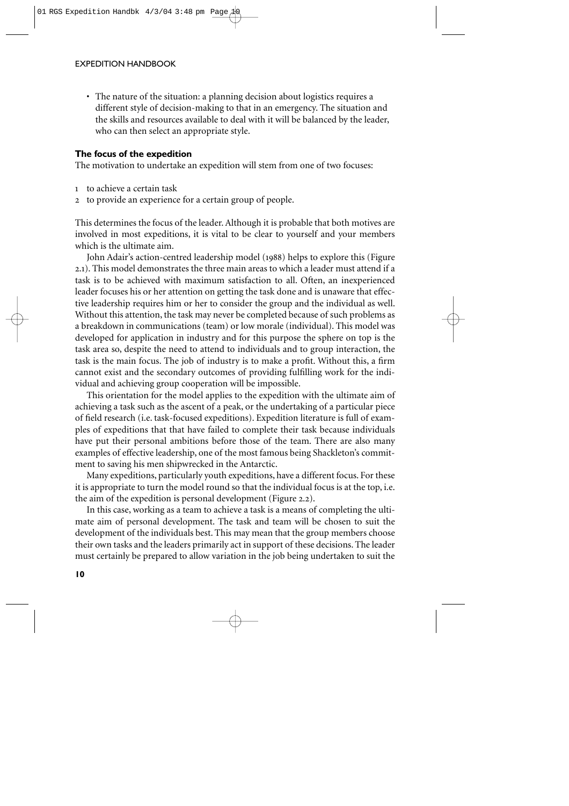• The nature of the situation: a planning decision about logistics requires a different style of decision-making to that in an emergency. The situation and the skills and resources available to deal with it will be balanced by the leader, who can then select an appropriate style.

#### **The focus of the expedition**

The motivation to undertake an expedition will stem from one of two focuses:

- 1 to achieve a certain task
- 2 to provide an experience for a certain group of people.

This determines the focus of the leader. Although it is probable that both motives are involved in most expeditions, it is vital to be clear to yourself and your members which is the ultimate aim.

John Adair's action-centred leadership model (1988) helps to explore this (Figure 2.1). This model demonstrates the three main areas to which a leader must attend if a task is to be achieved with maximum satisfaction to all. Often, an inexperienced leader focuses his or her attention on getting the task done and is unaware that effective leadership requires him or her to consider the group and the individual as well. Without this attention, the task may never be completed because of such problems as a breakdown in communications (team) or low morale (individual). This model was developed for application in industry and for this purpose the sphere on top is the task area so, despite the need to attend to individuals and to group interaction, the task is the main focus. The job of industry is to make a profit. Without this, a firm cannot exist and the secondary outcomes of providing fulfilling work for the individual and achieving group cooperation will be impossible.

This orientation for the model applies to the expedition with the ultimate aim of achieving a task such as the ascent of a peak, or the undertaking of a particular piece of field research (i.e. task-focused expeditions). Expedition literature is full of examples of expeditions that that have failed to complete their task because individuals have put their personal ambitions before those of the team. There are also many examples of effective leadership, one of the most famous being Shackleton's commitment to saving his men shipwrecked in the Antarctic.

Many expeditions, particularly youth expeditions, have a different focus. For these it is appropriate to turn the model round so that the individual focus is at the top, i.e. the aim of the expedition is personal development (Figure 2.2).

In this case, working as a team to achieve a task is a means of completing the ultimate aim of personal development. The task and team will be chosen to suit the development of the individuals best. This may mean that the group members choose their own tasks and the leaders primarily act in support of these decisions. The leader must certainly be prepared to allow variation in the job being undertaken to suit the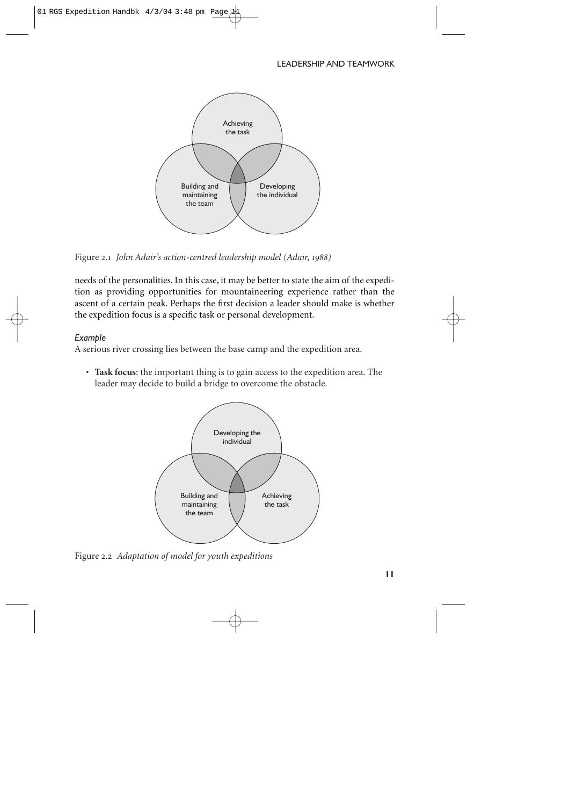

Figure 2.1 *John Adair's action-centred leadership model (Adair, 1988)* 

needs of the personalities. In this case, it may be better to state the aim of the expedition as providing opportunities for mountaineering experience rather than the ascent of a certain peak. Perhaps the first decision a leader should make is whether the expedition focus is a specific task or personal development.

#### *Example*

A serious river crossing lies between the base camp and the expedition area.

• **Task focus**: the important thing is to gain access to the expedition area. The leader may decide to build a bridge to overcome the obstacle.



Figure 2.2 *Adaptation of model for youth expeditions* 

**11**

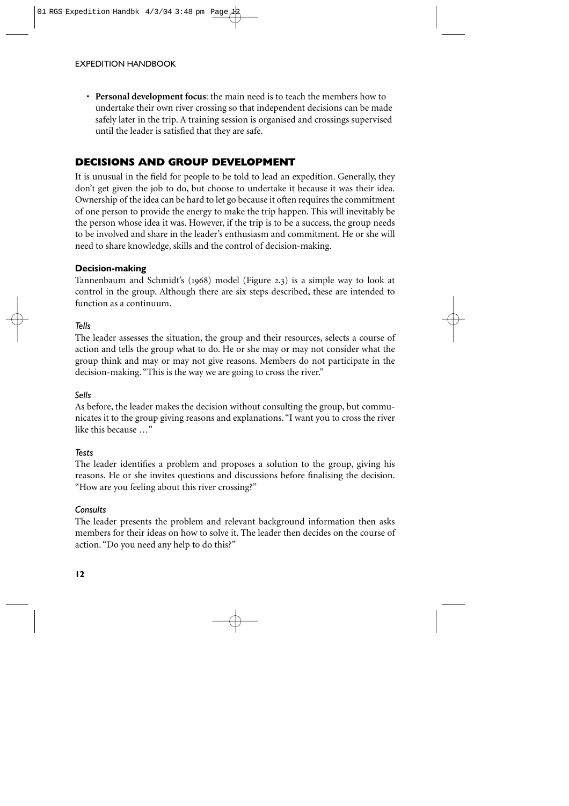• **Personal development focus**: the main need is to teach the members how to undertake their own river crossing so that independent decisions can be made safely later in the trip. A training session is organised and crossings supervised until the leader is satisfied that they are safe.

# **DECISIONS AND GROUP DEVELOPMENT**

It is unusual in the field for people to be told to lead an expedition. Generally, they don't get given the job to do, but choose to undertake it because it was their idea. Ownership of the idea can be hard to let go because it often requires the commitment of one person to provide the energy to make the trip happen. This will inevitably be the person whose idea it was. However, if the trip is to be a success, the group needs to be involved and share in the leader's enthusiasm and commitment. He or she will need to share knowledge, skills and the control of decision-making.

# **Decision-making**

Tannenbaum and Schmidt's (1968) model (Figure 2.3) is a simple way to look at control in the group. Although there are six steps described, these are intended to function as a continuum.

#### *Tells*

The leader assesses the situation, the group and their resources, selects a course of action and tells the group what to do. He or she may or may not consider what the group think and may or may not give reasons. Members do not participate in the decision-making. "This is the way we are going to cross the river."

# *Sells*

As before, the leader makes the decision without consulting the group, but communicates it to the group giving reasons and explanations. "I want you to cross the river like this because …"

#### *Tests*

The leader identifies a problem and proposes a solution to the group, giving his reasons. He or she invites questions and discussions before finalising the decision. "How are you feeling about this river crossing?"

#### *Consults*

The leader presents the problem and relevant background information then asks members for their ideas on how to solve it. The leader then decides on the course of action. "Do you need any help to do this?"

**12**

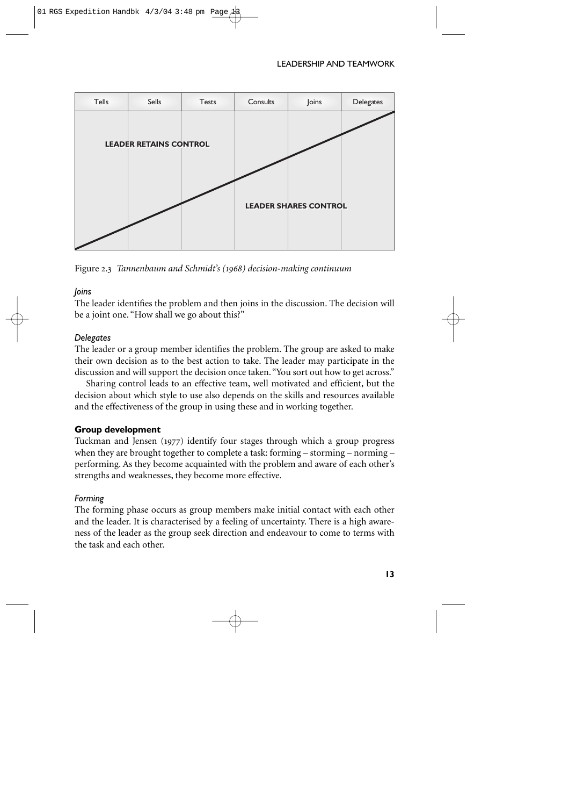

Figure 2.3 *Tannenbaum and Schmidt's (1968) decision-making continuum*

### *Joins*

The leader identifies the problem and then joins in the discussion. The decision will be a joint one. "How shall we go about this?"

#### *Delegates*

The leader or a group member identifies the problem. The group are asked to make their own decision as to the best action to take. The leader may participate in the discussion and will support the decision once taken."You sort out how to get across."

Sharing control leads to an effective team, well motivated and efficient, but the decision about which style to use also depends on the skills and resources available and the effectiveness of the group in using these and in working together.

#### **Group development**

Tuckman and Jensen (1977) identify four stages through which a group progress when they are brought together to complete a task: forming – storming – norming – performing. As they become acquainted with the problem and aware of each other's strengths and weaknesses, they become more effective.

# *Forming*

The forming phase occurs as group members make initial contact with each other and the leader. It is characterised by a feeling of uncertainty. There is a high awareness of the leader as the group seek direction and endeavour to come to terms with the task and each other.



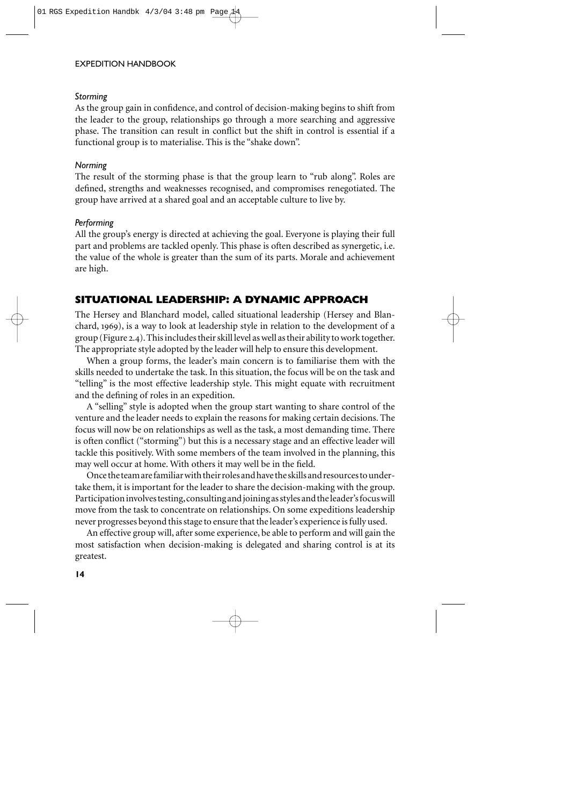#### *Storming*

As the group gain in confidence, and control of decision-making begins to shift from the leader to the group, relationships go through a more searching and aggressive phase. The transition can result in conflict but the shift in control is essential if a functional group is to materialise. This is the "shake down".

#### *Norming*

The result of the storming phase is that the group learn to "rub along". Roles are defined, strengths and weaknesses recognised, and compromises renegotiated. The group have arrived at a shared goal and an acceptable culture to live by.

#### *Performing*

All the group's energy is directed at achieving the goal. Everyone is playing their full part and problems are tackled openly. This phase is often described as synergetic, i.e. the value of the whole is greater than the sum of its parts. Morale and achievement are high.

# **SITUATIONAL LEADERSHIP: A DYNAMIC APPROACH**

The Hersey and Blanchard model, called situational leadership (Hersey and Blanchard, 1969), is a way to look at leadership style in relation to the development of a group (Figure 2.4).This includes their skill level as well as their ability to work together. The appropriate style adopted by the leader will help to ensure this development.

When a group forms, the leader's main concern is to familiarise them with the skills needed to undertake the task. In this situation, the focus will be on the task and "telling" is the most effective leadership style. This might equate with recruitment and the defining of roles in an expedition.

A "selling" style is adopted when the group start wanting to share control of the venture and the leader needs to explain the reasons for making certain decisions. The focus will now be on relationships as well as the task, a most demanding time. There is often conflict ("storming") but this is a necessary stage and an effective leader will tackle this positively. With some members of the team involved in the planning, this may well occur at home. With others it may well be in the field.

Oncetheteamarefamiliarwiththeirrolesandhavetheskillsandresourcestoundertake them, it is important for the leader to share the decision-making with the group. Participation involves testing, consulting and joining as styles and the leader's focus will move from the task to concentrate on relationships. On some expeditions leadership never progresses beyond this stage to ensure that the leader's experience is fully used.

An effective group will, after some experience, be able to perform and will gain the most satisfaction when decision-making is delegated and sharing control is at its greatest.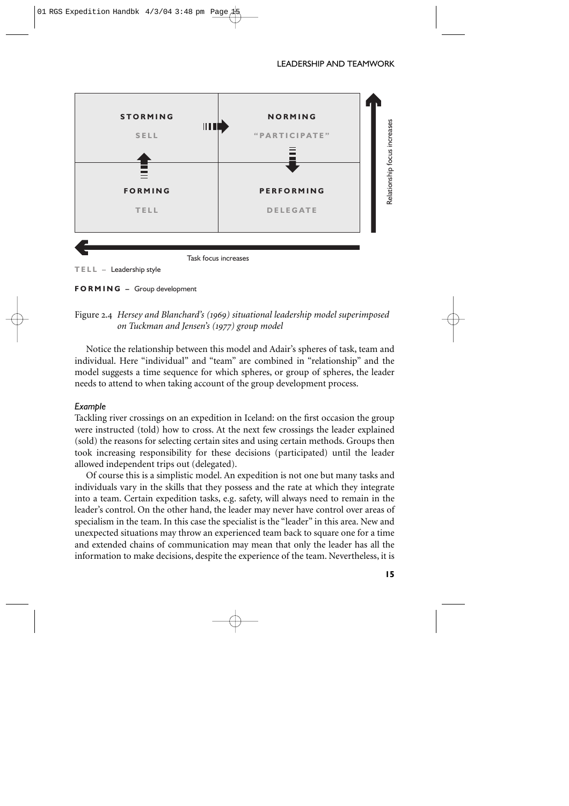

**FORMING –** Group development

# Figure 2.4 *Hersey and Blanchard's (1969) situational leadership model superimposed on Tuckman and Jensen's (1977) group model*

Notice the relationship between this model and Adair's spheres of task, team and individual. Here "individual" and "team" are combined in "relationship" and the model suggests a time sequence for which spheres, or group of spheres, the leader needs to attend to when taking account of the group development process.

#### *Example*

Tackling river crossings on an expedition in Iceland: on the first occasion the group were instructed (told) how to cross. At the next few crossings the leader explained (sold) the reasons for selecting certain sites and using certain methods. Groups then took increasing responsibility for these decisions (participated) until the leader allowed independent trips out (delegated).

Of course this is a simplistic model. An expedition is not one but many tasks and individuals vary in the skills that they possess and the rate at which they integrate into a team. Certain expedition tasks, e.g. safety, will always need to remain in the leader's control. On the other hand, the leader may never have control over areas of specialism in the team. In this case the specialist is the "leader" in this area. New and unexpected situations may throw an experienced team back to square one for a time and extended chains of communication may mean that only the leader has all the information to make decisions, despite the experience of the team. Nevertheless, it is



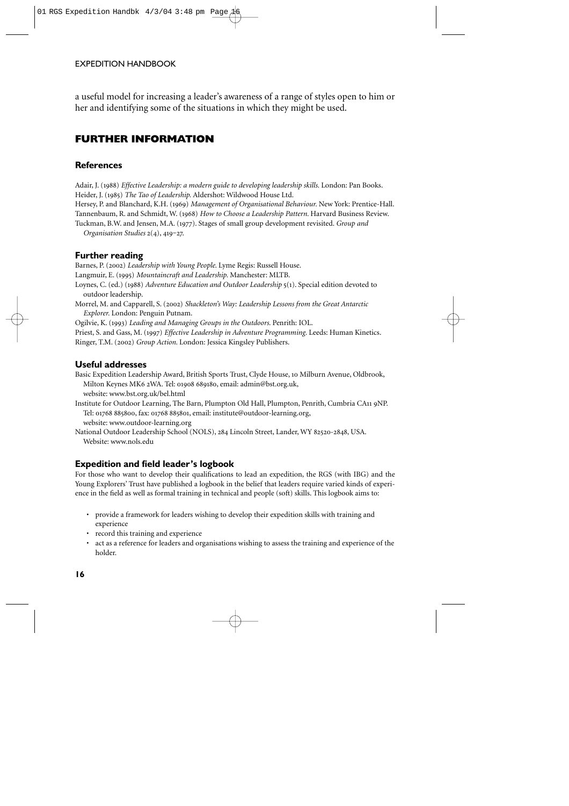a useful model for increasing a leader's awareness of a range of styles open to him or her and identifying some of the situations in which they might be used.

# **FURTHER INFORMATION**

#### **References**

Adair, J. (1988) *Effective Leadership: a modern guide to developing leadership skills.* London: Pan Books. Heider, J. (1985) *The Tao of Leadership.* Aldershot: Wildwood House Ltd. Hersey, P. and Blanchard, K.H. (1969) *Management of Organisational Behaviour.* New York: Prentice-Hall. Tannenbaum, R. and Schmidt, W. (1968) *How to Choose a Leadership Pattern.* Harvard Business Review. Tuckman, B.W. and Jensen, M.A. (1977). Stages of small group development revisited. *Group and Organisation Studies* 2(4), 419‒27.

#### **Further reading**

Barnes, P. (2002) *Leadership with Young People.* Lyme Regis: Russell House.

Langmuir, E. (1995) *Mountaincraft and Leadership.* Manchester: MLTB.

Loynes, C. (ed.) (1988) *Adventure Education and Outdoor Leadership* 5(1). Special edition devoted to outdoor leadership.

Morrel, M. and Capparell, S. (2002) *Shackleton's Way: Leadership Lessons from the Great Antarctic Explorer.* London: Penguin Putnam.

Ogilvie, K. (1993) *Leading and Managing Groups in the Outdoors.* Penrith: IOL. Priest, S. and Gass, M. (1997) *Effective Leadership in Adventure Programming.* Leeds: Human Kinetics. Ringer, T.M. (2002) *Group Action.* London: Jessica Kingsley Publishers.

#### **Useful addresses**

Basic Expedition Leadership Award, British Sports Trust, Clyde House, 10 Milburn Avenue, Oldbrook, Milton Keynes MK6 2WA. Tel: 01908 689180, email: admin@bst.org.uk, website: www.bst.org.uk/bel.html

- Institute for Outdoor Learning, The Barn, Plumpton Old Hall, Plumpton, Penrith, Cumbria CA11 9NP. Tel: 01768 885800, fax: 01768 885801, email: institute@outdoor-learning.org,
- website: www.outdoor-learning.org
- National Outdoor Leadership School (NOLS), 284 Lincoln Street, Lander, WY 82520-2848, USA. Website: www.nols.edu

## **Expedition and field leader's logbook**

For those who want to develop their qualifications to lead an expedition, the RGS (with IBG) and the Young Explorers' Trust have published a logbook in the belief that leaders require varied kinds of experience in the field as well as formal training in technical and people (soft) skills. This logbook aims to:

- provide a framework for leaders wishing to develop their expedition skills with training and experience
- record this training and experience
- act as a reference for leaders and organisations wishing to assess the training and experience of the holder.